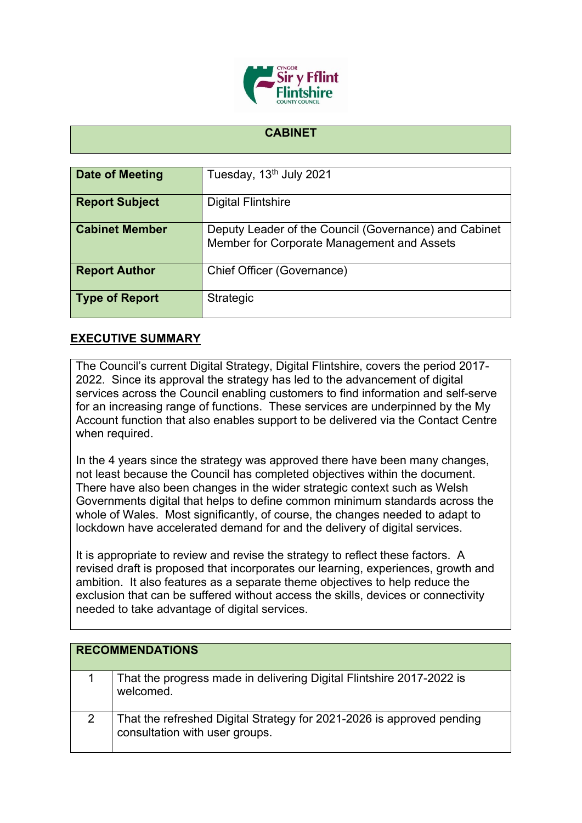

## **CABINET**

| <b>Date of Meeting</b> | Tuesday, 13 <sup>th</sup> July 2021                                                                 |
|------------------------|-----------------------------------------------------------------------------------------------------|
| <b>Report Subject</b>  | <b>Digital Flintshire</b>                                                                           |
| <b>Cabinet Member</b>  | Deputy Leader of the Council (Governance) and Cabinet<br>Member for Corporate Management and Assets |
| <b>Report Author</b>   | Chief Officer (Governance)                                                                          |
| <b>Type of Report</b>  | Strategic                                                                                           |

## **EXECUTIVE SUMMARY**

The Council's current Digital Strategy, Digital Flintshire, covers the period 2017- 2022. Since its approval the strategy has led to the advancement of digital services across the Council enabling customers to find information and self-serve for an increasing range of functions. These services are underpinned by the My Account function that also enables support to be delivered via the Contact Centre when required.

In the 4 years since the strategy was approved there have been many changes, not least because the Council has completed objectives within the document. There have also been changes in the wider strategic context such as Welsh Governments digital that helps to define common minimum standards across the whole of Wales. Most significantly, of course, the changes needed to adapt to lockdown have accelerated demand for and the delivery of digital services.

It is appropriate to review and revise the strategy to reflect these factors. A revised draft is proposed that incorporates our learning, experiences, growth and ambition. It also features as a separate theme objectives to help reduce the exclusion that can be suffered without access the skills, devices or connectivity needed to take advantage of digital services.

| <b>RECOMMENDATIONS</b> |                                                                                                         |
|------------------------|---------------------------------------------------------------------------------------------------------|
|                        | That the progress made in delivering Digital Flintshire 2017-2022 is<br>welcomed.                       |
|                        | That the refreshed Digital Strategy for 2021-2026 is approved pending<br>consultation with user groups. |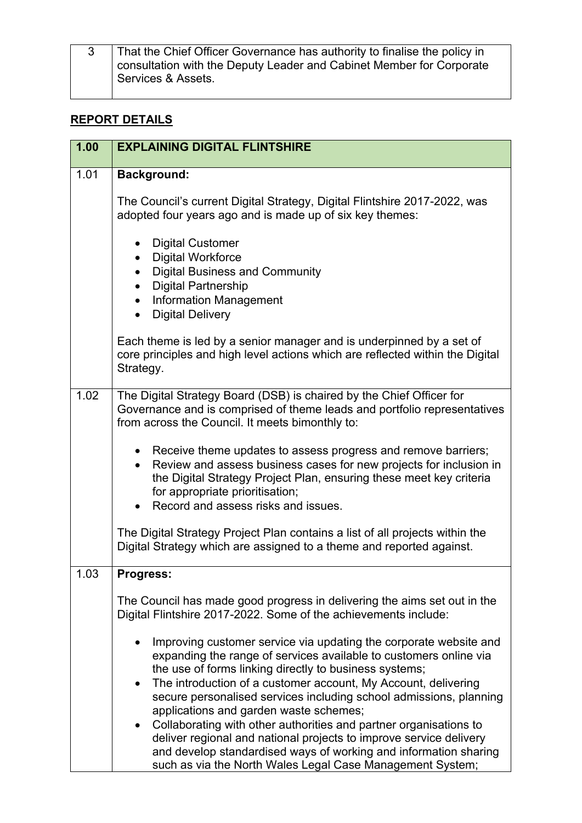| That the Chief Officer Governance has authority to finalise the policy in |
|---------------------------------------------------------------------------|
| consultation with the Deputy Leader and Cabinet Member for Corporate      |
|                                                                           |
| Services & Assets.                                                        |

## **REPORT DETAILS**

| 1.00 | <b>EXPLAINING DIGITAL FLINTSHIRE</b>                                                                                                                                                                                                                                                                                                                                                            |
|------|-------------------------------------------------------------------------------------------------------------------------------------------------------------------------------------------------------------------------------------------------------------------------------------------------------------------------------------------------------------------------------------------------|
| 1.01 | <b>Background:</b>                                                                                                                                                                                                                                                                                                                                                                              |
|      | The Council's current Digital Strategy, Digital Flintshire 2017-2022, was<br>adopted four years ago and is made up of six key themes:                                                                                                                                                                                                                                                           |
|      | • Digital Customer<br><b>Digital Workforce</b><br>$\bullet$<br><b>Digital Business and Community</b><br>$\bullet$<br><b>Digital Partnership</b><br>• Information Management<br><b>Digital Delivery</b>                                                                                                                                                                                          |
|      | Each theme is led by a senior manager and is underpinned by a set of<br>core principles and high level actions which are reflected within the Digital<br>Strategy.                                                                                                                                                                                                                              |
| 1.02 | The Digital Strategy Board (DSB) is chaired by the Chief Officer for<br>Governance and is comprised of theme leads and portfolio representatives<br>from across the Council. It meets bimonthly to:                                                                                                                                                                                             |
|      | • Receive theme updates to assess progress and remove barriers;<br>Review and assess business cases for new projects for inclusion in<br>the Digital Strategy Project Plan, ensuring these meet key criteria<br>for appropriate prioritisation;<br>• Record and assess risks and issues.                                                                                                        |
|      | The Digital Strategy Project Plan contains a list of all projects within the<br>Digital Strategy which are assigned to a theme and reported against.                                                                                                                                                                                                                                            |
| 1.03 | <b>Progress:</b>                                                                                                                                                                                                                                                                                                                                                                                |
|      | The Council has made good progress in delivering the aims set out in the<br>Digital Flintshire 2017-2022. Some of the achievements include:                                                                                                                                                                                                                                                     |
|      | Improving customer service via updating the corporate website and<br>expanding the range of services available to customers online via<br>the use of forms linking directly to business systems;<br>The introduction of a customer account, My Account, delivering<br>$\bullet$<br>secure personalised services including school admissions, planning<br>applications and garden waste schemes; |
|      | Collaborating with other authorities and partner organisations to<br>$\bullet$<br>deliver regional and national projects to improve service delivery<br>and develop standardised ways of working and information sharing<br>such as via the North Wales Legal Case Management System;                                                                                                           |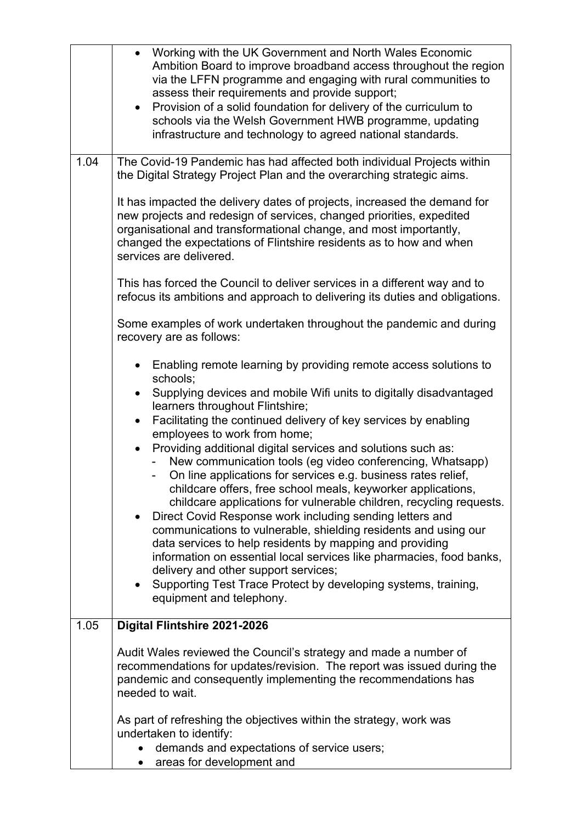|      | Working with the UK Government and North Wales Economic<br>$\bullet$<br>Ambition Board to improve broadband access throughout the region<br>via the LFFN programme and engaging with rural communities to<br>assess their requirements and provide support;<br>• Provision of a solid foundation for delivery of the curriculum to<br>schools via the Welsh Government HWB programme, updating<br>infrastructure and technology to agreed national standards.                              |
|------|--------------------------------------------------------------------------------------------------------------------------------------------------------------------------------------------------------------------------------------------------------------------------------------------------------------------------------------------------------------------------------------------------------------------------------------------------------------------------------------------|
| 1.04 | The Covid-19 Pandemic has had affected both individual Projects within<br>the Digital Strategy Project Plan and the overarching strategic aims.                                                                                                                                                                                                                                                                                                                                            |
|      | It has impacted the delivery dates of projects, increased the demand for<br>new projects and redesign of services, changed priorities, expedited<br>organisational and transformational change, and most importantly,<br>changed the expectations of Flintshire residents as to how and when<br>services are delivered.                                                                                                                                                                    |
|      | This has forced the Council to deliver services in a different way and to<br>refocus its ambitions and approach to delivering its duties and obligations.                                                                                                                                                                                                                                                                                                                                  |
|      | Some examples of work undertaken throughout the pandemic and during<br>recovery are as follows:                                                                                                                                                                                                                                                                                                                                                                                            |
|      | Enabling remote learning by providing remote access solutions to<br>schools;<br>Supplying devices and mobile Wifi units to digitally disadvantaged<br>$\bullet$                                                                                                                                                                                                                                                                                                                            |
|      | learners throughout Flintshire;<br>Facilitating the continued delivery of key services by enabling<br>$\bullet$<br>employees to work from home;                                                                                                                                                                                                                                                                                                                                            |
|      | Providing additional digital services and solutions such as:<br>$\bullet$<br>New communication tools (eg video conferencing, Whatsapp)<br>On line applications for services e.g. business rates relief,<br>childcare offers, free school meals, keyworker applications,<br>childcare applications for vulnerable children, recycling requests.<br>Direct Covid Response work including sending letters and<br>$\bullet$<br>communications to vulnerable, shielding residents and using our |
|      | data services to help residents by mapping and providing<br>information on essential local services like pharmacies, food banks,<br>delivery and other support services;<br>Supporting Test Trace Protect by developing systems, training,<br>$\bullet$                                                                                                                                                                                                                                    |
|      | equipment and telephony.                                                                                                                                                                                                                                                                                                                                                                                                                                                                   |
| 1.05 | Digital Flintshire 2021-2026                                                                                                                                                                                                                                                                                                                                                                                                                                                               |
|      | Audit Wales reviewed the Council's strategy and made a number of<br>recommendations for updates/revision. The report was issued during the<br>pandemic and consequently implementing the recommendations has<br>needed to wait.                                                                                                                                                                                                                                                            |
|      | As part of refreshing the objectives within the strategy, work was<br>undertaken to identify:<br>demands and expectations of service users;                                                                                                                                                                                                                                                                                                                                                |
|      | areas for development and<br>$\bullet$                                                                                                                                                                                                                                                                                                                                                                                                                                                     |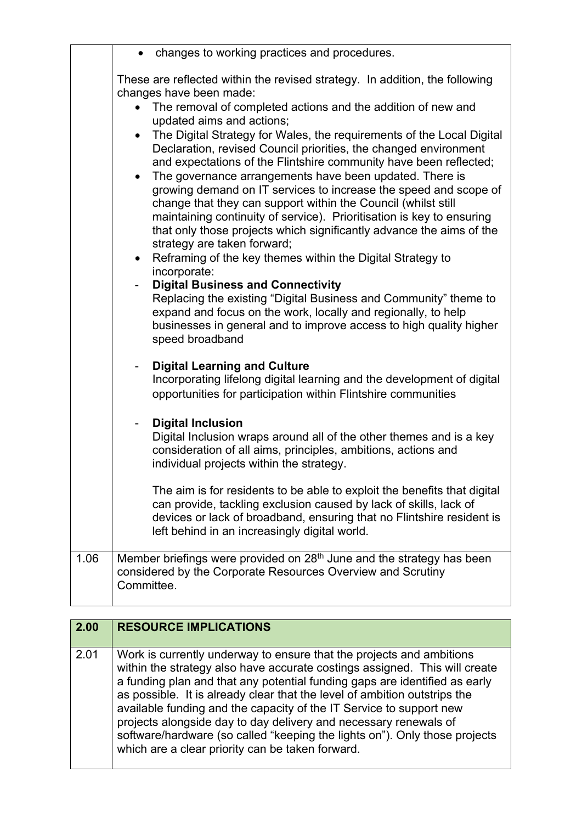|      | changes to working practices and procedures.                                                                                                                                                                                                                                                                                                                                                                                                                                                                                                                                 |
|------|------------------------------------------------------------------------------------------------------------------------------------------------------------------------------------------------------------------------------------------------------------------------------------------------------------------------------------------------------------------------------------------------------------------------------------------------------------------------------------------------------------------------------------------------------------------------------|
|      | These are reflected within the revised strategy. In addition, the following<br>changes have been made:                                                                                                                                                                                                                                                                                                                                                                                                                                                                       |
|      | The removal of completed actions and the addition of new and<br>$\bullet$<br>updated aims and actions;                                                                                                                                                                                                                                                                                                                                                                                                                                                                       |
|      | The Digital Strategy for Wales, the requirements of the Local Digital<br>Declaration, revised Council priorities, the changed environment<br>and expectations of the Flintshire community have been reflected;<br>The governance arrangements have been updated. There is<br>$\bullet$<br>growing demand on IT services to increase the speed and scope of<br>change that they can support within the Council (whilst still<br>maintaining continuity of service). Prioritisation is key to ensuring<br>that only those projects which significantly advance the aims of the |
|      | strategy are taken forward;<br>Reframing of the key themes within the Digital Strategy to<br>incorporate:                                                                                                                                                                                                                                                                                                                                                                                                                                                                    |
|      | <b>Digital Business and Connectivity</b><br>Replacing the existing "Digital Business and Community" theme to<br>expand and focus on the work, locally and regionally, to help<br>businesses in general and to improve access to high quality higher<br>speed broadband                                                                                                                                                                                                                                                                                                       |
|      | <b>Digital Learning and Culture</b><br>Incorporating lifelong digital learning and the development of digital<br>opportunities for participation within Flintshire communities                                                                                                                                                                                                                                                                                                                                                                                               |
|      | <b>Digital Inclusion</b><br>Digital Inclusion wraps around all of the other themes and is a key<br>consideration of all aims, principles, ambitions, actions and<br>individual projects within the strategy.                                                                                                                                                                                                                                                                                                                                                                 |
|      | The aim is for residents to be able to exploit the benefits that digital<br>can provide, tackling exclusion caused by lack of skills, lack of<br>devices or lack of broadband, ensuring that no Flintshire resident is<br>left behind in an increasingly digital world.                                                                                                                                                                                                                                                                                                      |
| 1.06 | Member briefings were provided on 28 <sup>th</sup> June and the strategy has been<br>considered by the Corporate Resources Overview and Scrutiny<br>Committee.                                                                                                                                                                                                                                                                                                                                                                                                               |
|      |                                                                                                                                                                                                                                                                                                                                                                                                                                                                                                                                                                              |

| 2.00 | <b>RESOURCE IMPLICATIONS</b>                                                                                                                                                                                                                                                                                                                                                                                                                                                                                                                                                               |
|------|--------------------------------------------------------------------------------------------------------------------------------------------------------------------------------------------------------------------------------------------------------------------------------------------------------------------------------------------------------------------------------------------------------------------------------------------------------------------------------------------------------------------------------------------------------------------------------------------|
| 2.01 | Work is currently underway to ensure that the projects and ambitions<br>within the strategy also have accurate costings assigned. This will create<br>a funding plan and that any potential funding gaps are identified as early<br>as possible. It is already clear that the level of ambition outstrips the<br>available funding and the capacity of the IT Service to support new<br>projects alongside day to day delivery and necessary renewals of<br>software/hardware (so called "keeping the lights on"). Only those projects<br>which are a clear priority can be taken forward. |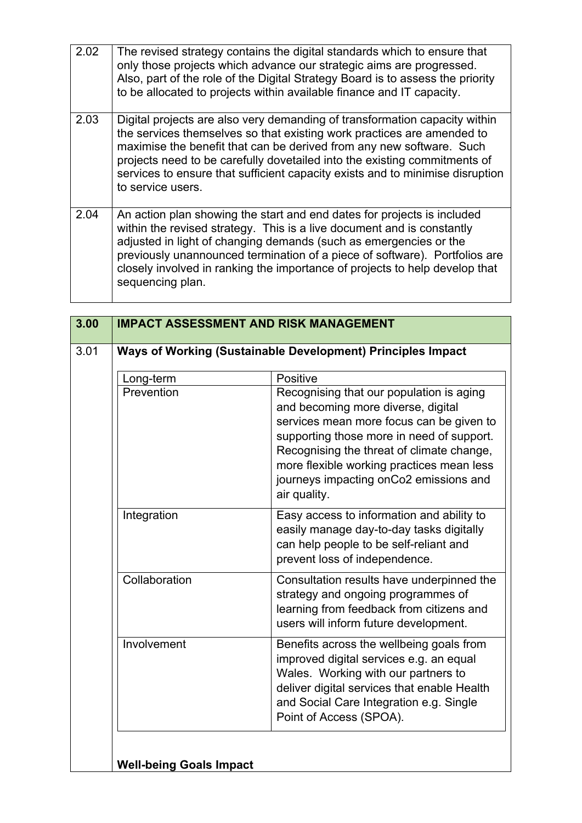| 2.02 | The revised strategy contains the digital standards which to ensure that<br>only those projects which advance our strategic aims are progressed.<br>Also, part of the role of the Digital Strategy Board is to assess the priority<br>to be allocated to projects within available finance and IT capacity.                                                                                                     |
|------|-----------------------------------------------------------------------------------------------------------------------------------------------------------------------------------------------------------------------------------------------------------------------------------------------------------------------------------------------------------------------------------------------------------------|
| 2.03 | Digital projects are also very demanding of transformation capacity within<br>the services themselves so that existing work practices are amended to<br>maximise the benefit that can be derived from any new software. Such<br>projects need to be carefully dovetailed into the existing commitments of<br>services to ensure that sufficient capacity exists and to minimise disruption<br>to service users. |
| 2.04 | An action plan showing the start and end dates for projects is included<br>within the revised strategy. This is a live document and is constantly<br>adjusted in light of changing demands (such as emergencies or the<br>previously unannounced termination of a piece of software). Portfolios are<br>closely involved in ranking the importance of projects to help develop that<br>sequencing plan.         |

| Long-term     | Positive                                                                                                                                                                                                                                                                                                                    |
|---------------|-----------------------------------------------------------------------------------------------------------------------------------------------------------------------------------------------------------------------------------------------------------------------------------------------------------------------------|
| Prevention    | Recognising that our population is aging<br>and becoming more diverse, digital<br>services mean more focus can be given to<br>supporting those more in need of support.<br>Recognising the threat of climate change,<br>more flexible working practices mean less<br>journeys impacting onCo2 emissions and<br>air quality. |
| Integration   | Easy access to information and ability to<br>easily manage day-to-day tasks digitally<br>can help people to be self-reliant and<br>prevent loss of independence.                                                                                                                                                            |
| Collaboration | Consultation results have underpinned the<br>strategy and ongoing programmes of<br>learning from feedback from citizens and<br>users will inform future development.                                                                                                                                                        |
| Involvement   | Benefits across the wellbeing goals from<br>improved digital services e.g. an equal<br>Wales. Working with our partners to<br>deliver digital services that enable Health<br>and Social Care Integration e.g. Single<br>Point of Access (SPOA).                                                                             |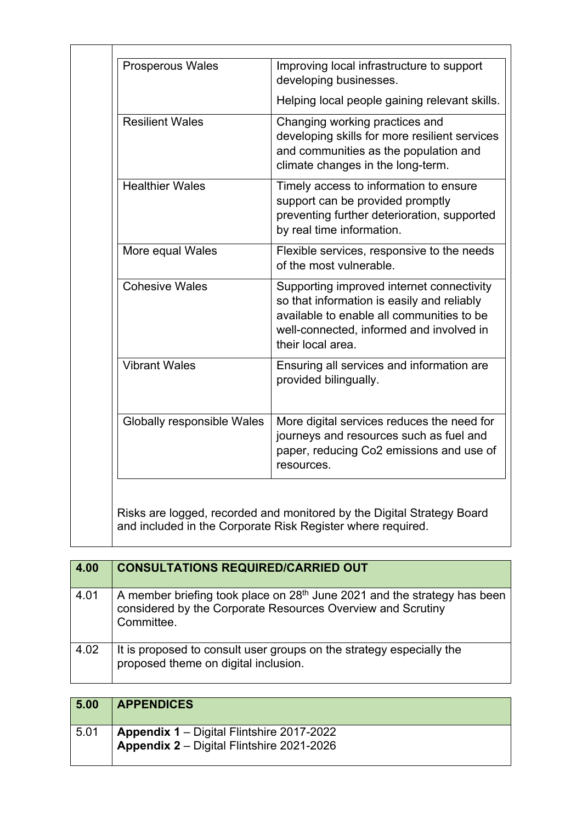| <b>Prosperous Wales</b>    | Improving local infrastructure to support<br>developing businesses.                                                                                                                                   |
|----------------------------|-------------------------------------------------------------------------------------------------------------------------------------------------------------------------------------------------------|
|                            | Helping local people gaining relevant skills.                                                                                                                                                         |
| <b>Resilient Wales</b>     | Changing working practices and<br>developing skills for more resilient services<br>and communities as the population and<br>climate changes in the long-term.                                         |
| <b>Healthier Wales</b>     | Timely access to information to ensure<br>support can be provided promptly<br>preventing further deterioration, supported<br>by real time information.                                                |
| More equal Wales           | Flexible services, responsive to the needs<br>of the most vulnerable.                                                                                                                                 |
| <b>Cohesive Wales</b>      | Supporting improved internet connectivity<br>so that information is easily and reliably<br>available to enable all communities to be<br>well-connected, informed and involved in<br>their local area. |
| <b>Vibrant Wales</b>       | Ensuring all services and information are<br>provided bilingually.                                                                                                                                    |
| Globally responsible Wales | More digital services reduces the need for<br>journeys and resources such as fuel and<br>paper, reducing Co2 emissions and use of<br>resources.                                                       |

| 4.00 | <b>CONSULTATIONS REQUIRED/CARRIED OUT</b>                                                                                                                         |
|------|-------------------------------------------------------------------------------------------------------------------------------------------------------------------|
| 4.01 | A member briefing took place on 28 <sup>th</sup> June 2021 and the strategy has been<br>considered by the Corporate Resources Overview and Scrutiny<br>Committee. |
| 4.02 | It is proposed to consult user groups on the strategy especially the<br>proposed theme on digital inclusion.                                                      |

| 5.00 | <b>APPENDICES</b>                                                                             |
|------|-----------------------------------------------------------------------------------------------|
| 5.01 | <b>Appendix 1</b> – Digital Flintshire 2017-2022<br>Appendix 2 - Digital Flintshire 2021-2026 |